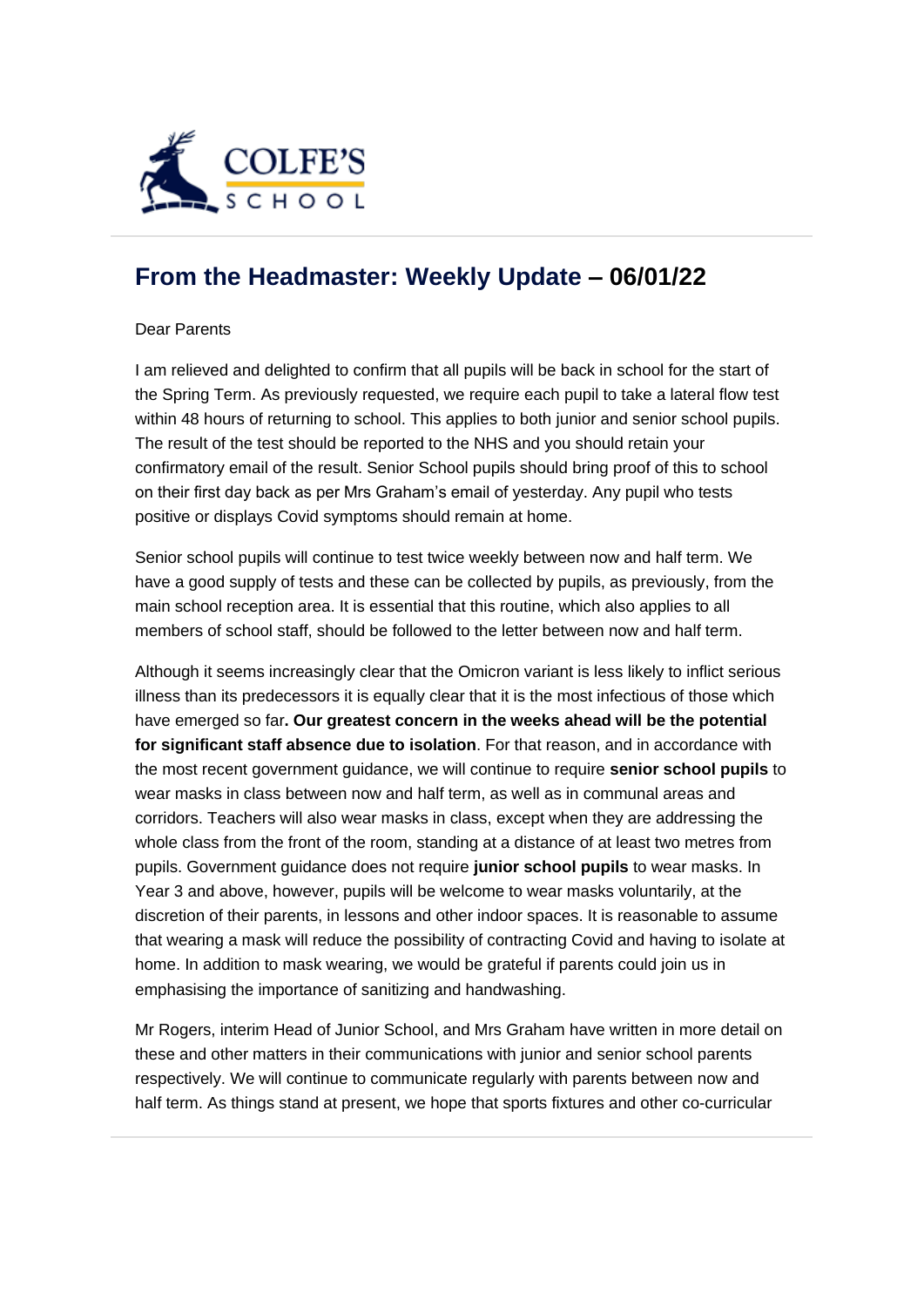

## **[From the Headmaster: Weekly Update](https://urlsand.esvalabs.com/?u=https%3A%2F%2Fschoolpostcdn.blob.core.windows.net%2Fpublic%2F~%2Femail-test-message.html&e=f4e25f66&h=847ca343&f=y&p=y) – 06/01/22**

## Dear Parents

I am relieved and delighted to confirm that all pupils will be back in school for the start of the Spring Term. As previously requested, we require each pupil to take a lateral flow test within 48 hours of returning to school. This applies to both junior and senior school pupils. The result of the test should be reported to the NHS and you should retain your confirmatory email of the result. Senior School pupils should bring proof of this to school on their first day back as per Mrs Graham's email of yesterday. Any pupil who tests positive or displays Covid symptoms should remain at home.

Senior school pupils will continue to test twice weekly between now and half term. We have a good supply of tests and these can be collected by pupils, as previously, from the main school reception area. It is essential that this routine, which also applies to all members of school staff, should be followed to the letter between now and half term.

Although it seems increasingly clear that the Omicron variant is less likely to inflict serious illness than its predecessors it is equally clear that it is the most infectious of those which have emerged so far**. Our greatest concern in the weeks ahead will be the potential for significant staff absence due to isolation**. For that reason, and in accordance with the most recent government guidance, we will continue to require **senior school pupils** to wear masks in class between now and half term, as well as in communal areas and corridors. Teachers will also wear masks in class, except when they are addressing the whole class from the front of the room, standing at a distance of at least two metres from pupils. Government guidance does not require **junior school pupils** to wear masks. In Year 3 and above, however, pupils will be welcome to wear masks voluntarily, at the discretion of their parents, in lessons and other indoor spaces. It is reasonable to assume that wearing a mask will reduce the possibility of contracting Covid and having to isolate at home. In addition to mask wearing, we would be grateful if parents could join us in emphasising the importance of sanitizing and handwashing.

Mr Rogers, interim Head of Junior School, and Mrs Graham have written in more detail on these and other matters in their communications with junior and senior school parents respectively. We will continue to communicate regularly with parents between now and half term. As things stand at present, we hope that sports fixtures and other co-curricular